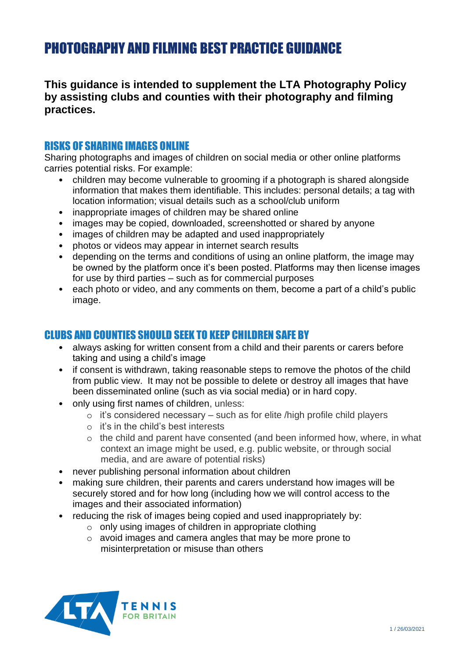# PHOTOGRAPHY AND FILMING BEST PRACTICE GUIDANCE

## **This guidance is intended to supplement the LTA Photography Policy by assisting clubs and counties with their photography and filming practices.**

#### RISKS OF SHARING IMAGES ONLINE

Sharing photographs and images of children on social media or other online platforms carries potential risks. For example:

- children may become vulnerable to grooming if a photograph is shared alongside information that makes them identifiable. This includes: personal details; a tag with location information; visual details such as a school/club uniform
- inappropriate images of children may be shared online
- images may be copied, downloaded, screenshotted or shared by anyone
- images of children may be adapted and used inappropriately
- photos or videos may appear in internet search results
- depending on the terms and conditions of using an online platform, the image may be owned by the platform once it's been posted. Platforms may then license images for use by third parties – such as for commercial purposes
- each photo or video, and any comments on them, become a part of a child's public image.

### CLUBS AND COUNTIES SHOULD SEEK TO KEEP CHILDREN SAFE BY

- always asking for written consent from a child and their parents or carers before taking and using a child's image
- if consent is withdrawn, taking reasonable steps to remove the photos of the child from public view. It may not be possible to delete or destroy all images that have been disseminated online (such as via social media) or in hard copy.
- only using first names of children, unless:
	- o it's considered necessary such as for elite /high profile child players
	- $\circ$  it's in the child's best interests
	- o the child and parent have consented (and been informed how, where, in what context an image might be used, e.g. public website, or through social media, and are aware of potential risks)
- never publishing personal information about children
- making sure children, their parents and carers understand how images will be securely stored and for how long (including how we will control access to the images and their associated information)
- reducing the risk of images being copied and used inappropriately by:
	- o only using images of children in appropriate clothing
	- o avoid images and camera angles that may be more prone to misinterpretation or misuse than others

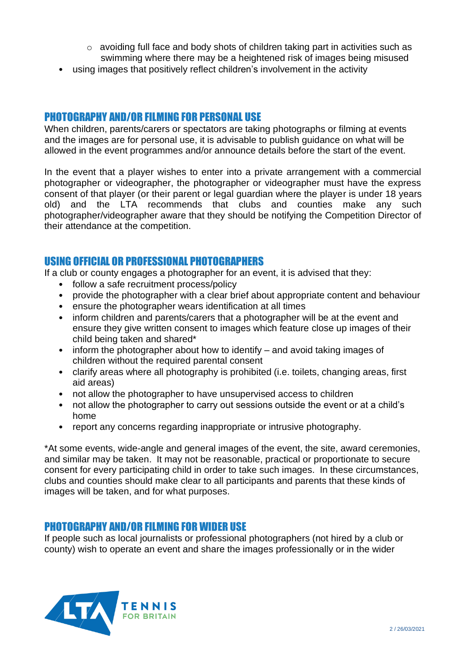- o avoiding full face and body shots of children taking part in activities such as swimming where there may be a heightened risk of images being misused
- using images that positively reflect children's involvement in the activity

## PHOTOGRAPHY AND/OR FILMING FOR PERSONAL USE

When children, parents/carers or spectators are taking photographs or filming at events and the images are for personal use, it is advisable to publish guidance on what will be allowed in the event programmes and/or announce details before the start of the event.

In the event that a player wishes to enter into a private arrangement with a commercial photographer or videographer, the photographer or videographer must have the express consent of that player (or their parent or legal guardian where the player is under 18 years old) and the LTA recommends that clubs and counties make any such photographer/videographer aware that they should be notifying the Competition Director of their attendance at the competition.

### USING OFFICIAL OR PROFESSIONAL PHOTOGRAPHERS

If a club or county engages a photographer for an event, it is advised that they:

- follow a safe recruitment process/policy
- provide the photographer with a clear brief about appropriate content and behaviour
- ensure the photographer wears identification at all times
- inform children and parents/carers that a photographer will be at the event and ensure they give written consent to images which feature close up images of their child being taken and shared\*
- inform the photographer about how to identify and avoid taking images of children without the required parental consent
- clarify areas where all photography is prohibited (i.e. toilets, changing areas, first aid areas)
- not allow the photographer to have unsupervised access to children
- not allow the photographer to carry out sessions outside the event or at a child's home
- report any concerns regarding inappropriate or intrusive photography.

\*At some events, wide-angle and general images of the event, the site, award ceremonies, and similar may be taken. It may not be reasonable, practical or proportionate to secure consent for every participating child in order to take such images. In these circumstances, clubs and counties should make clear to all participants and parents that these kinds of images will be taken, and for what purposes.

### PHOTOGRAPHY AND/OR FILMING FOR WIDER USE

If people such as local journalists or professional photographers (not hired by a club or county) wish to operate an event and share the images professionally or in the wider